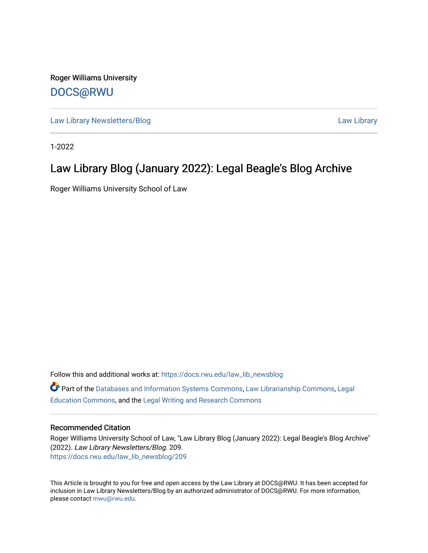Roger Williams University [DOCS@RWU](https://docs.rwu.edu/)

[Law Library Newsletters/Blog](https://docs.rwu.edu/law_lib_newsblog) [Law Library](https://docs.rwu.edu/law_lib) Caw Library

1-2022

#### Law Library Blog (January 2022): Legal Beagle's Blog Archive

Roger Williams University School of Law

Follow this and additional works at: [https://docs.rwu.edu/law\\_lib\\_newsblog](https://docs.rwu.edu/law_lib_newsblog?utm_source=docs.rwu.edu%2Flaw_lib_newsblog%2F209&utm_medium=PDF&utm_campaign=PDFCoverPages)  Part of the [Databases and Information Systems Commons](http://network.bepress.com/hgg/discipline/145?utm_source=docs.rwu.edu%2Flaw_lib_newsblog%2F209&utm_medium=PDF&utm_campaign=PDFCoverPages), [Law Librarianship Commons,](http://network.bepress.com/hgg/discipline/1393?utm_source=docs.rwu.edu%2Flaw_lib_newsblog%2F209&utm_medium=PDF&utm_campaign=PDFCoverPages) [Legal](http://network.bepress.com/hgg/discipline/857?utm_source=docs.rwu.edu%2Flaw_lib_newsblog%2F209&utm_medium=PDF&utm_campaign=PDFCoverPages) [Education Commons,](http://network.bepress.com/hgg/discipline/857?utm_source=docs.rwu.edu%2Flaw_lib_newsblog%2F209&utm_medium=PDF&utm_campaign=PDFCoverPages) and the [Legal Writing and Research Commons](http://network.bepress.com/hgg/discipline/614?utm_source=docs.rwu.edu%2Flaw_lib_newsblog%2F209&utm_medium=PDF&utm_campaign=PDFCoverPages) 

#### Recommended Citation

Roger Williams University School of Law, "Law Library Blog (January 2022): Legal Beagle's Blog Archive" (2022). Law Library Newsletters/Blog. 209. [https://docs.rwu.edu/law\\_lib\\_newsblog/209](https://docs.rwu.edu/law_lib_newsblog/209?utm_source=docs.rwu.edu%2Flaw_lib_newsblog%2F209&utm_medium=PDF&utm_campaign=PDFCoverPages) 

This Article is brought to you for free and open access by the Law Library at DOCS@RWU. It has been accepted for inclusion in Law Library Newsletters/Blog by an authorized administrator of DOCS@RWU. For more information, please contact [mwu@rwu.edu.](mailto:mwu@rwu.edu)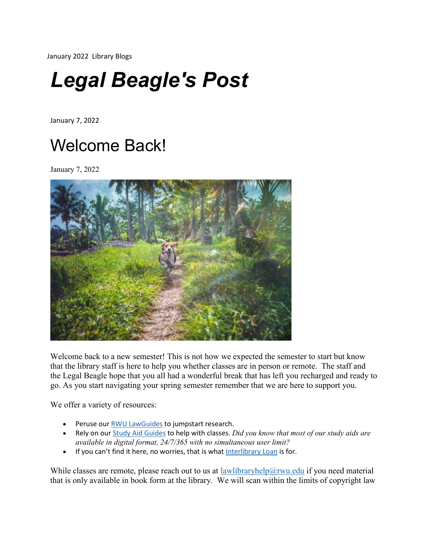January 2022 Library Blogs

# *Legal Beagle's Post*

January 7, 2022

#### Welcome Back!

January 7, 2022



Welcome back to a new semester! This is not how we expected the semester to start but know that the library staff is here to help you whether classes are in person or remote. The staff and the Legal Beagle hope that you all had a wonderful break that has left you recharged and ready to go. As you start navigating your spring semester remember that we are here to support you.

We offer a variety of resources:

- Peruse our RWU [LawGuides](https://lawguides.rwu.edu/) to jumpstart research.
- Rely on our Study Aid [Guides](https://law.rwu.edu/library/research/study-aids) to help with classes. *Did you know that most of our study aids are available in digital format, 24/7/365 with no simultaneous user limit?*
- If you can't find it here, no worries, that is what [Interlibrary](https://lawguides.rwu.edu/c.php?g=179321&p=1178514) Loan is for.

While classes are remote, please reach out to us at [lawlibraryhelp@rwu.edu](mailto:lawlibraryhelp@rwu.edu) if you need material that is only available in book form at the library. We will scan within the limits of copyright law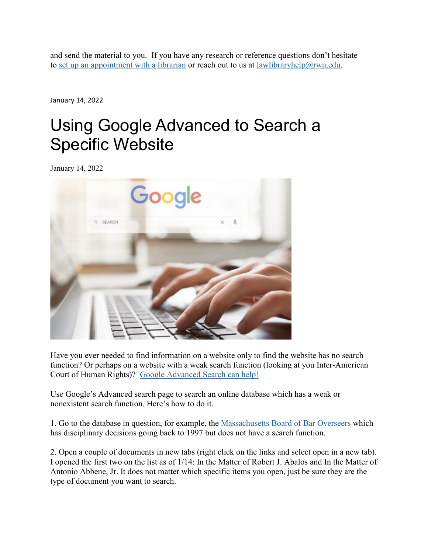and send the material to you. If you have any research or reference questions don't hesitate to set up an [appointment](https://lawguides.rwu.edu/AskaLibrarian) with a librarian or reach out to us at [lawlibraryhelp@rwu.edu.](mailto:lawlibraryhelp@rwu.edu)

January 14, 2022

#### Using Google Advanced to Search a Specific Website

January 14, 2022



Have you ever needed to find information on a website only to find the website has no search function? Or perhaps on a website with a weak search function (looking at you Inter-American Court of Human Rights)? Google [Advanced](https://www.google.com/advanced_search) Search can help!

Use Google's Advanced search page to search an online database which has a weak or nonexistent search function. Here's how to do it.

1. Go to the database in question, for example, the [Massachusetts](https://www.massbbo.org/s/decisions) Board of Bar Overseers which has disciplinary decisions going back to 1997 but does not have a search function.

2. Open a couple of documents in new tabs (right click on the links and select open in a new tab). I opened the first two on the list as of 1/14: In the Matter of Robert J. Abalos and In the Matter of Antonio Abbene, Jr. It does not matter which specific items you open, just be sure they are the type of document you want to search.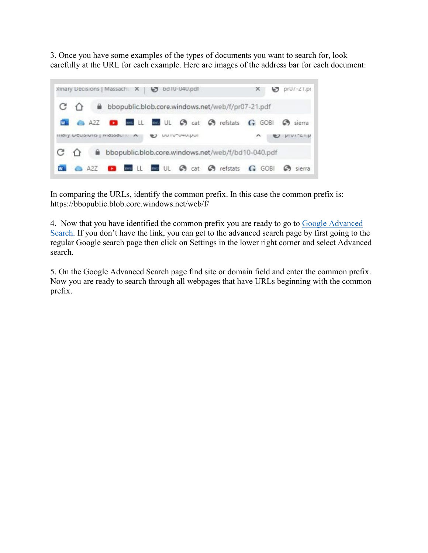3. Once you have some examples of the types of documents you want to search for, look carefully at the URL for each example. Here are images of the address bar for each document:



In comparing the URLs, identify the common prefix. In this case the common prefix is: https://bbopublic.blob.core.windows.net/web/f/

4. Now that you have identified the common prefix you are ready to go to Google [Advanced](https://www.google.com/advanced_search) [Search.](https://www.google.com/advanced_search) If you don't have the link, you can get to the advanced search page by first going to the regular Google search page then click on Settings in the lower right corner and select Advanced search.

5. On the Google Advanced Search page find site or domain field and enter the common prefix. Now you are ready to search through all webpages that have URLs beginning with the common prefix.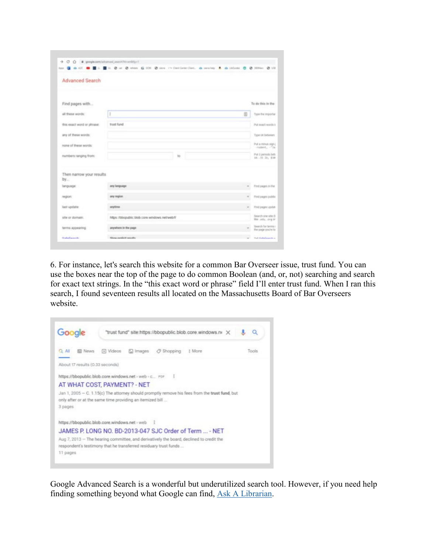|                            | Apr G & AT B E L E L O at O when G 028 O since r's Continent Cont. & serving & & Linkson O O Stiller O US |                                                  |
|----------------------------|-----------------------------------------------------------------------------------------------------------|--------------------------------------------------|
| <b>Advanced Search</b>     |                                                                                                           |                                                  |
| Find pages with            |                                                                                                           | To do this in the                                |
| all these words:           | 1<br>(8)                                                                                                  | Type the importan                                |
| this exact word or phrase: | trust fund.                                                                                               | Put exact words in                               |
| any of these wonds:        |                                                                                                           | Type (or between                                 |
| none of these words:       |                                                                                                           | Put a minus eight<br>$-$ rollers, $-$ 754        |
| numbers ranging from:      | <b>ND</b>                                                                                                 | Put 2 perceix bels<br>10.116.28; \$10.           |
| Then narrow your results   |                                                                                                           |                                                  |
| by<br>tenguage:            | any language<br>×                                                                                         | Find pages in the                                |
| region:                    | any region.                                                                                               | Pind pages publis                                |
| last update:               | anytima<br>$\frac{1}{2}$                                                                                  | Find pages update                                |
| site or domain.            | https://bbopublic.blob.core.windows.net/web/f/                                                            | Search one site (I)<br>We adv. org or            |
| terms appearing:           | anywhere in the page.                                                                                     | the profit floor fairly to<br>the page you're is |
| ColorCouncils              | <b>Show available results</b>                                                                             | Toll Galletingwide at                            |

6. For instance, let's search this website for a common Bar Overseer issue, trust fund. You can use the boxes near the top of the page to do common Boolean (and, or, not) searching and search for exact text strings. In the "this exact word or phrase" field I'll enter trust fund. When I ran this search, I found seventeen results all located on the Massachusetts Board of Bar Overseers website.



Google Advanced Search is a wonderful but underutilized search tool. However, if you need help finding something beyond what Google can find, Ask A [Librarian.](https://lawguides.rwu.edu/AskaLibrarian)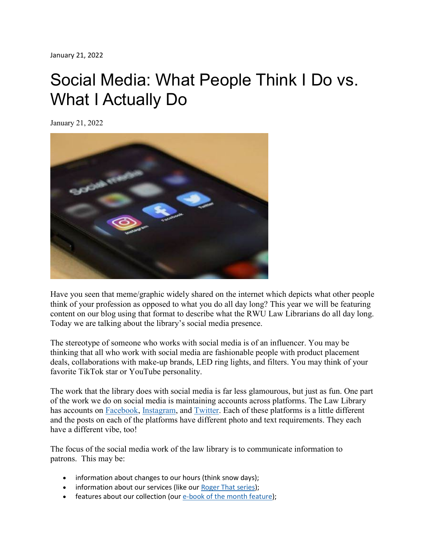## Social Media: What People Think I Do vs. What I Actually Do

January 21, 2022



Have you seen that meme/graphic widely shared on the internet which depicts what other people think of your profession as opposed to what you do all day long? This year we will be featuring content on our blog using that format to describe what the RWU Law Librarians do all day long. Today we are talking about the library's social media presence.

The stereotype of someone who works with social media is of an influencer. You may be thinking that all who work with social media are fashionable people with product placement deals, collaborations with make-up brands, LED ring lights, and filters. You may think of your favorite TikTok star or YouTube personality.

The work that the library does with social media is far less glamourous, but just as fun. One part of the work we do on social media is maintaining accounts across platforms. The Law Library has accounts on [Facebook,](https://www.facebook.com/RWULawLibrary) [Instagram,](https://www.instagram.com/rwulawlibrary/) and [Twitter.](https://www.twitter.com/RWULawLibrary) Each of these platforms is a little different and the posts on each of the platforms have different photo and text requirements. They each have a different vibe, too!

The focus of the social media work of the law library is to communicate information to patrons. This may be:

- information about changes to our hours (think snow days);
- information about our services (like our Roger That [series\)](https://lawguides.rwu.edu/RogerThat);
- features about our collection (our e-book of the month [feature\)](https://www.facebook.com/plugins/post.php?href=https%3A%2F%2Fwww.facebook.com%2FRWULawLibrary%2Fphotos%2Fa.666503050055175%2F4785858261452946%2F);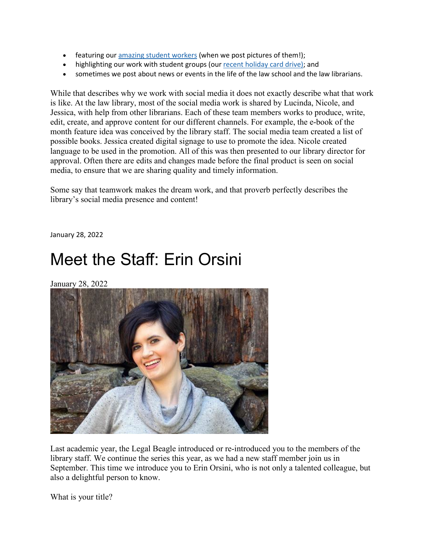- featuring our [amazing](https://www.facebook.com/plugins/post.php?href=https%3A%2F%2Fwww.facebook.com%2FRWULawLibrary%2Fphotos%2Fa.666503050055175%2F4680494698655970%2F%3Ftype%3D3&show) student workers (when we post pictures of them!);
- highlighting our work with student groups (our recent [holiday](https://www.facebook.com/plugins/post.php?href=https%3A%2F%2Fwww.facebook.com%2FRWULawLibrary%2Fphotos%2Fa.666503050055175%2F4680226038682836%2F%3Ftype%3D3&show) card drive); and
- sometimes we post about news or events in the life of the law school and the law librarians.

While that describes why we work with social media it does not exactly describe what that work is like. At the law library, most of the social media work is shared by Lucinda, Nicole, and Jessica, with help from other librarians. Each of these team members works to produce, write, edit, create, and approve content for our different channels. For example, the e-book of the month feature idea was conceived by the library staff. The social media team created a list of possible books. Jessica created digital signage to use to promote the idea. Nicole created language to be used in the promotion. All of this was then presented to our library director for approval. Often there are edits and changes made before the final product is seen on social media, to ensure that we are sharing quality and timely information.

Some say that teamwork makes the dream work, and that proverb perfectly describes the library's social media presence and content!

January 28, 2022

### Meet the Staff: Erin Orsini

January 28, 2022



Last academic year, the Legal Beagle introduced or re-introduced you to the members of the library staff. We continue the series this year, as we had a new staff member join us in September. This time we introduce you to Erin Orsini, who is not only a talented colleague, but also a delightful person to know.

What is your title?